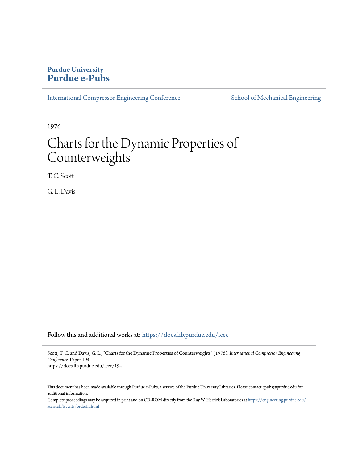# **Purdue University [Purdue e-Pubs](https://docs.lib.purdue.edu?utm_source=docs.lib.purdue.edu%2Ficec%2F194&utm_medium=PDF&utm_campaign=PDFCoverPages)**

[International Compressor Engineering Conference](https://docs.lib.purdue.edu/icec?utm_source=docs.lib.purdue.edu%2Ficec%2F194&utm_medium=PDF&utm_campaign=PDFCoverPages) [School of Mechanical Engineering](https://docs.lib.purdue.edu/me?utm_source=docs.lib.purdue.edu%2Ficec%2F194&utm_medium=PDF&utm_campaign=PDFCoverPages)

1976

# Charts for the Dynamic Properties of Counterweights

T. C. Scott

G. L. Davis

Follow this and additional works at: [https://docs.lib.purdue.edu/icec](https://docs.lib.purdue.edu/icec?utm_source=docs.lib.purdue.edu%2Ficec%2F194&utm_medium=PDF&utm_campaign=PDFCoverPages)

Scott, T. C. and Davis, G. L., "Charts for the Dynamic Properties of Counterweights" (1976). *International Compressor Engineering Conference.* Paper 194. https://docs.lib.purdue.edu/icec/194

This document has been made available through Purdue e-Pubs, a service of the Purdue University Libraries. Please contact epubs@purdue.edu for additional information.

Complete proceedings may be acquired in print and on CD-ROM directly from the Ray W. Herrick Laboratories at [https://engineering.purdue.edu/](https://engineering.purdue.edu/Herrick/Events/orderlit.html) [Herrick/Events/orderlit.html](https://engineering.purdue.edu/Herrick/Events/orderlit.html)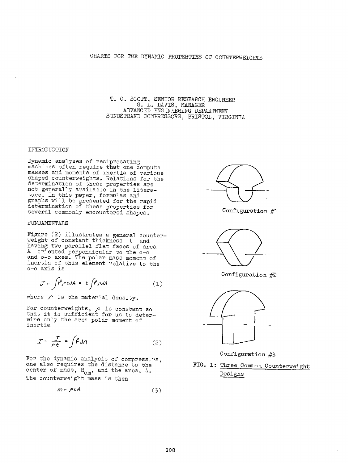T. C. SCOTT, SENIOR RESEARCH ENGINEER G. L. DAVIS, MANAGER ADVANCED ENGINEERING DEPARTMENT SUNDSTRAND COMPRESSORS, BRISTOL, VIRGINIA

### INTRODUCTION

Dynamic analyses of reciprocating machines often require that one compute masses and moments of inertia of various shaped counterweights. Relations for the determination of these properties are not generally available in the literature. In this paper, formulas and graphs will be presented for the rapid determination of these properties for several commonly encountered shapes.

#### FUNDAMENTALS

Figure (2) illustrates a general counterweight of constant thickness t and having two parallel flat faces of area <sup>A</sup>oriented perpendicular to the c-c and o-o axes. The polar mass moment of inertia of this element relative to the o-o axis is

$$
\mathcal{J} = \int \mathbf{r}^2 \rho t dA = t \int \mathbf{r}^2 \rho dA \qquad (1)
$$

where  *is the material density.* 

For counterweights,  $\rho$  is constant so that it is sufficient for us to determine only the area polar moment of inertia

$$
T = \frac{J}{\rho t} = \int \mathring{r} dA \tag{2}
$$

For the dynamic analysis of compressors, one also requires the distance to the center of mass,  $R_{\alpha m}$ , and the area,  $\Lambda$ . The counterweight mass is then

$$
m = \rho \cdot \mathcal{A} \tag{3}
$$



Configuration #l



Configuration #2



Configuration #3

**FIG. 1:** Three Common Counterweight Designs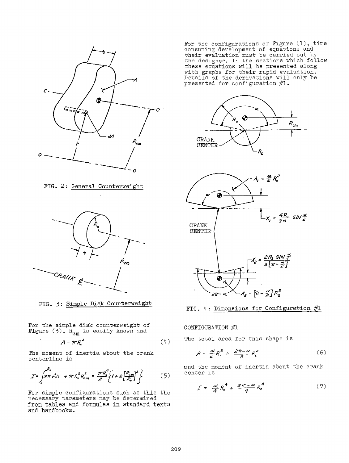

FIG. 2: General Counterweight



FIG. 3: Simple Disk Counterweight

For the simple disk counterweight of Figure (3),  $R_{\alpha m}$  is easily known and

$$
A = \pi R_{\circ}^{2} \tag{4}
$$

The moment of inertia about the crank centerline is

$$
\mathcal{I} = \int_{0}^{R_{\circ}} 2\pi r^{2} dr + \pi R_{\circ}^{2} R_{cm}^{2} = \frac{\pi R_{\circ}^{4}}{2} \left\{ I + 2 \left[ \frac{R_{cm}}{R_{\circ}} \right]^{2} \right\}
$$
 (5)

For simple configurations such as this the necessary parameters may be determined from tables and formulas in standard texts and handbooks.

For the configurations of Figure (1), time consuming development of equations and their evaluation must be carried out by the designer. In the sections which follow these equations will be presented along with graphs for their rapid evaluation. Details of the derivations will only be presented for configuration #1.







CONFIGURATION #1

The total area for this shape is

$$
A = \frac{\alpha}{2} R_s^2 + \frac{2\pi - \alpha}{2} R_s^2 \tag{6}
$$

and the moment of inertia about the crank center is

$$
\mathcal{I} = \frac{\alpha}{4} R_o^4 + \frac{2\pi - \alpha}{4} R_s^4 \tag{7}
$$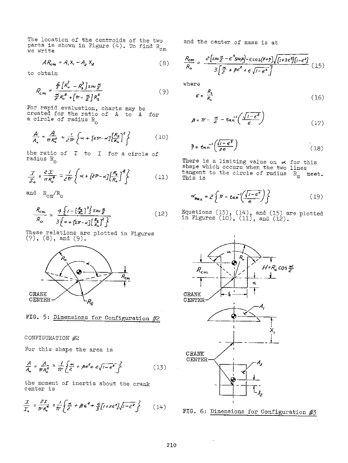The location of the centroids of the two parts is shown in Figure (4). To find  $\rm R_{\alpha\,m}$ we write

$$
AR_{cm} = A_1 X_1 - A_2 X_2 \tag{8}
$$

to obtain

$$
R_{cm} = \frac{\frac{2}{3}\left[\kappa_s^3 - \kappa_s^3\right]s/\omega \frac{\alpha}{\epsilon}}{\frac{\alpha}{\epsilon}R_o^2 + \left[\pi - \frac{\alpha}{\epsilon}\right]R_s^2}
$$
(9)

For rapid evaluation, charts may be created for the ratio of A to A created for the ratio of A to A for<br>a circle of radius R 0

$$
\frac{A}{A_{\circ}} = \frac{A}{\pi R_{\circ}^{2}} = \frac{1}{2\pi} \left\{ \propto + \left[ z\pi - \alpha \right] \left[ \frac{R_{\circ}}{R_{\circ}} \right]^{2} \right\}
$$
(10)

the ratio of  $I$  to  $I$  for a circle of radius  $R_0$ 

$$
\frac{T}{T_o} = \frac{2T}{\pi R_o^4} = \frac{1}{2\pi} \left\{ \alpha + \left[ 2R - \alpha \right] \left[ \frac{R_s}{R_o} \right]^4 \right\} \tag{11}
$$

and  $\rm R_{cm}/R_{\odot}$ 

$$
\frac{R_{cm}}{R_o} = \frac{4\left\{I - \left[\frac{R_s}{R_o}\right]^3\right\} \sin\frac{\alpha}{2}}{3\left\{\alpha + \left[2\pi - \alpha\right]\left[\frac{R_s}{R_o}\right]^2\right\}}
$$
(12)

These relations are plotted in Figures  $(7)$ ,  $(8)$ , and  $(9)$ .



FIG. 5: Dimensions for Configuration #2

CONFIGURATION #2

For this shape the area is

$$
\frac{A}{A_{\circ}} = \frac{A}{\pi R_{\circ}^{2}} = \frac{I}{\pi} \left\{ \frac{\alpha}{2} + \beta \epsilon^{2} + \epsilon \sqrt{1 - \epsilon^{2}} \right\} \tag{15}
$$

the moment of inertia about the crank center is

$$
\frac{\mathcal{I}}{\mathcal{I}_0} = \frac{\partial \mathcal{I}}{\partial \mathcal{R}_0^4} = \frac{1}{\pi} \left\{ \frac{\Delta}{c^2} + \beta \epsilon^4 + \frac{\epsilon}{3} [I + 2\epsilon^2] \sqrt{I - \epsilon^2} \right\} \tag{14}
$$

and the center of mass is at

$$
\frac{R_{\rm cm}}{R_{\rm o}} = \frac{2\left[\sin\frac{\alpha}{\epsilon} - \epsilon^3 s w \mu\right] - \epsilon \cos(\beta + \gamma) \sqrt{\left[i + 3\epsilon^2\right]\left[i - \epsilon^2\right]}}{3\left[\frac{\alpha}{\epsilon} + \beta \epsilon^2 + \epsilon \sqrt{i - \epsilon^2}\right]} \tag{15}
$$

where

$$
\epsilon = \frac{R_{\rm s}}{R_{\rm e}} \tag{16}
$$

$$
\beta = \mathcal{W} - \frac{\alpha}{c^2} - \tan^{-1}\left(\frac{\sqrt{1 - \epsilon^2}}{\epsilon}\right) \tag{17}
$$

$$
\bar{y} = \tan^{-1}\left(\frac{\sqrt{1-\epsilon^2}}{2\epsilon}\right) \tag{18}
$$

There is a limiting value on  $\sim$  for this shape which occurs when the two lines tangent to the circle of radius  $R_{\rm s}$  meet. This is

$$
\alpha'_{\text{max}} = 2 \left\{ \pi - \tan^{-1} \left( \frac{\sqrt{1 - e^2}}{e} \right) \right\} \tag{19}
$$

Equations  $(13)$ ,  $(14)$ , and  $(15)$  are plotted in Figures  $(10)$ ,  $(11)$ , and  $(12)$ .

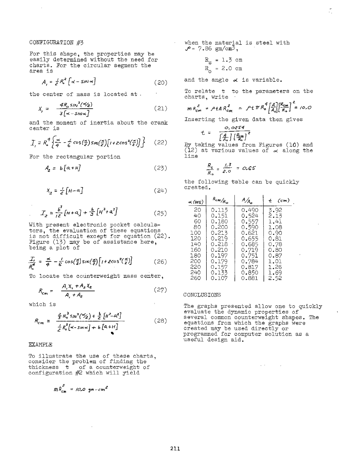## CONFIGURATION #3

For this shape, the properties may be easily determined without the need for charts. For the circular segment the area is

$$
A_{i} = \frac{1}{e^{2}} R_{o}^{2} \left[ \alpha - s m \alpha \right]
$$
 (20)

the center of mass is located at .

$$
X_{j} = \frac{4R_{0} \sin^{3}(\frac{\alpha}{2})}{3[\alpha - 5/\alpha \alpha]}
$$
 (21)

and the moment of inertia about the crank center is

$$
I_{\ell} = R_{\circ}^4 \left\{ \frac{\alpha}{4} - \frac{1}{6} \cos\left(\frac{\alpha}{2}\right) \sin\left(\frac{\alpha}{2}\right) \left[1 + 2 \cos^2\left(\frac{\alpha}{2}\right) \right] \right\} \tag{22}
$$

For the rectangular portion

$$
A_2 = b[a + H] \tag{23}
$$

$$
X_{a} = \frac{1}{e} \left[ H - a \right] \tag{24}
$$

$$
T_{z} = \frac{b^{3}}{12} \left[ H + a \right] + \frac{b}{3} \left[ H^{3} + a^{3} \right] \tag{25}
$$

With present electronic pocket calculators, the evaluation of these equations is not difficult except for equation (22). Figure (13) may be of assistance here, being a plot of

$$
\frac{T_i}{R_o^4} = \frac{\alpha}{4} - \frac{1}{6} \cos\left(\frac{\alpha}{2}\right) \sin\left(\frac{\alpha}{2}\right) \left[1 + 2\cos^2\left(\frac{\alpha}{2}\right)\right] \tag{26}
$$

To locate the counterweight mass center,

$$
R_{cm} = \frac{A_i X_i + A_z X_z}{A_i + A_z} \tag{27}
$$

which is

$$
R_{cm} = \frac{\frac{2}{3}R_0^3 s_{,}/\sqrt{2} + \frac{b}{2} [\mu^2 - a^2]}{\frac{1}{2}R_0^2 [\propto -s_{,}/\sqrt{2} + b [a + H]} \tag{28}
$$

#### **EXAMPLE**

To illustrate the use of these charts, consider the problem of finding the thickness t of a counterweight of configuration #2 which will yield

$$
m R_{cm}^2 = /0.0 \text{ gm-cm}^2
$$

 $\ddot{\phantom{0}}$ 

 $\Delta \sim 10^4$ when the material is steel with  $P = 7.86$  gm/cm<sup>3</sup>,

$$
R_{S} = 1.3 cm
$$
  

$$
R_{O} = 2.0 cm
$$

and the angle  $\alpha$  is variable.

To relate t to the parameters on the charts, write *z* 

$$
m R_{cm}^2 = \rho t A R_{cm}^2 = \rho t T R_0^4 \left[ \frac{A}{A_0} \right] \left[ \frac{R_{cm}}{R_0} \right] = /0.0
$$

Inserting the given data then gives

$$
t = \frac{0.0854}{\left[\frac{A}{A_0}\right] \left[\frac{R_{cm}}{R_0}\right]^2}
$$

By taking values from Figures (10) and (12) at various values of  $\alpha$  along the line

$$
\frac{R_{s}}{R_{0}} = \frac{1.3}{2.0} = 0.65
$$

the following table can be quickly created.

| $\prec$ (DEG) | $R_{cm}/R_{\odot}$ | $A/A_{\alpha}$ | $t$ (cm) |
|---------------|--------------------|----------------|----------|
| 20            | 0.115              | 0.490          | 3.92     |
| 40            | 0.151              | 0.524          | 2.13     |
| 60            | 0.180              | 0.557          | 1.41     |
| 80            | 0.200              | 0.590          | 1.08     |
| 100           | 0.213              | 0.621          | 0.90     |
| 120           | 0.219              | 0.655          | 0.81     |
| 140           | 0.218              | 0.685          | 0.78     |
| 160           | 0.210              | 0.719          | 0.80     |
| 180           | 0.197              | 0.751          | 0.87     |
| 200           | 0.179              | 0.784          | 1.01     |
| 220           | 0.157              | 0.817          | 1.26     |
| 240           | 0.133              | 0.850          | 1.69     |
| 260           | 0.107              | 0.881          | 2.52     |

#### CONCLUSIONS

The graphs presented allow one to quickly evaluate the dynamic properties of several common counterweight shapes. The equations from which the graphs were created may be used directly or programmed for computer solution as a use£ul design aid.

**Carlos** 

 $\sim$   $\sim$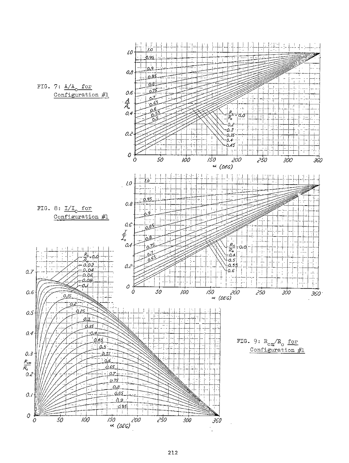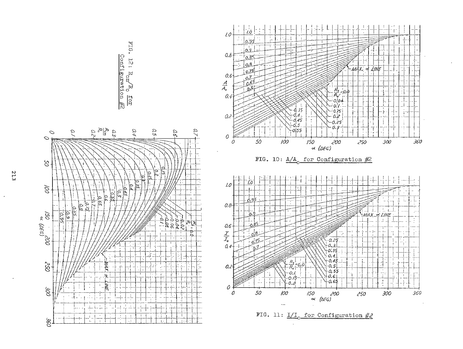